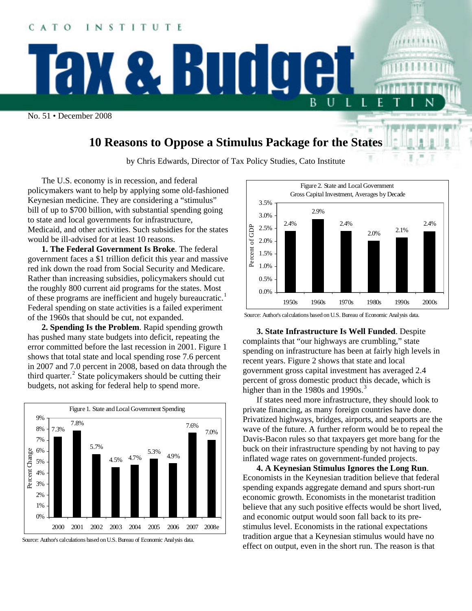

## **10 Reasons to Oppose a Stimulus Package for the States**

by Chris Edwards, Director of Tax Policy Studies, Cato Institute

The U.S. economy is in recession, and federal policymakers want to help by applying some old-fashioned Keynesian medicine. They are considering a "stimulus" bill of up to \$700 billion, with substantial spending going to state and local governments for infrastructure, Medicaid, and other activities. Such subsidies for the states would be ill-advised for at least 10 reasons.

**1. The Federal Government Is Broke**. The federal government faces a \$1 trillion deficit this year and massive red ink down the road from Social Security and Medicare. Rather than increasing subsidies, policymakers should cut the roughly 800 current aid programs for the states. Most of these programs are inefficient and hugely bureaucratic.<sup>1</sup> Federal spending on state activities is a failed experiment of the 1960s that should be cut, not expanded.

**2. Spending Is the Problem**. Rapid spending growth has pushed many state budgets into deficit, repeating the error committed before the last recession in 2001. Figure 1 shows that total state and local spending rose 7.6 percent in 2007 and 7.0 percent in 2008, based on data through the third quarter.<sup>2</sup> State policymakers should be cutting their budgets, not asking for federal help to spend more.



Source: Author's calculations based on U.S. Bureau of Economic Analysis data.



Source: Author's calculations based on U.S. Bureau of Economic Analysis data.

**3. State Infrastructure Is Well Funded**. Despite complaints that "our highways are crumbling," state spending on infrastructure has been at fairly high levels in recent years. Figure 2 shows that state and local government gross capital investment has averaged 2.4 percent of gross domestic product this decade, which is higher than in the 1980s and 1990s. $3$ 

If states need more infrastructure, they should look to private financing, as many foreign countries have done. Privatized highways, bridges, airports, and seaports are the wave of the future. A further reform would be to repeal the Davis-Bacon rules so that taxpayers get more bang for the buck on their infrastructure spending by not having to pay inflated wage rates on government-funded projects.

**4. A Keynesian Stimulus Ignores the Long Run**. Economists in the Keynesian tradition believe that federal spending expands aggregate demand and spurs short-run economic growth. Economists in the monetarist tradition believe that any such positive effects would be short lived, and economic output would soon fall back to its prestimulus level. Economists in the rational expectations tradition argue that a Keynesian stimulus would have no effect on output, even in the short run. The reason is that